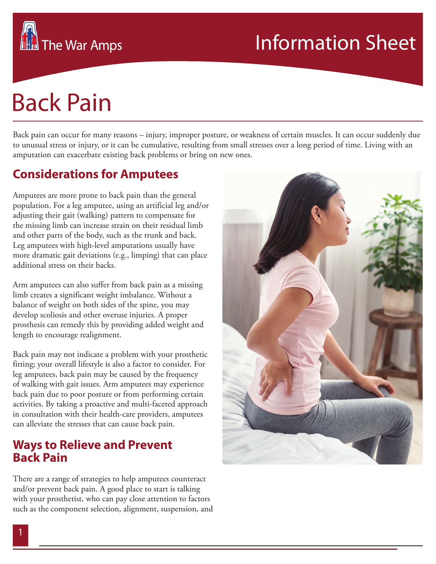# Back Pain

**The War Amps** 

Back pain can occur for many reasons – injury, improper posture, or weakness of certain muscles. It can occur suddenly due to unusual stress or injury, or it can be cumulative, resulting from small stresses over a long period of time. Living with an amputation can exacerbate existing back problems or bring on new ones.

## **Considerations for Amputees**

Amputees are more prone to back pain than the general population. For a leg amputee, using an artificial leg and/or adjusting their gait (walking) pattern to compensate for the missing limb can increase strain on their residual limb and other parts of the body, such as the trunk and back. Leg amputees with high-level amputations usually have more dramatic gait deviations (e.g., limping) that can place additional stress on their backs.

Arm amputees can also suffer from back pain as a missing limb creates a significant weight imbalance. Without a balance of weight on both sides of the spine, you may develop scoliosis and other overuse injuries. A proper prosthesis can remedy this by providing added weight and length to encourage realignment.

Back pain may not indicate a problem with your prosthetic fitting; your overall lifestyle is also a factor to consider. For leg amputees, back pain may be caused by the frequency of walking with gait issues. Arm amputees may experience back pain due to poor posture or from performing certain activities. By taking a proactive and multi-faceted approach in consultation with their health-care providers, amputees can alleviate the stresses that can cause back pain.

### **Ways to Relieve and Prevent Back Pain**

There are a range of strategies to help amputees counteract and/or prevent back pain. A good place to start is talking with your prosthetist, who can pay close attention to factors such as the component selection, alignment, suspension, and